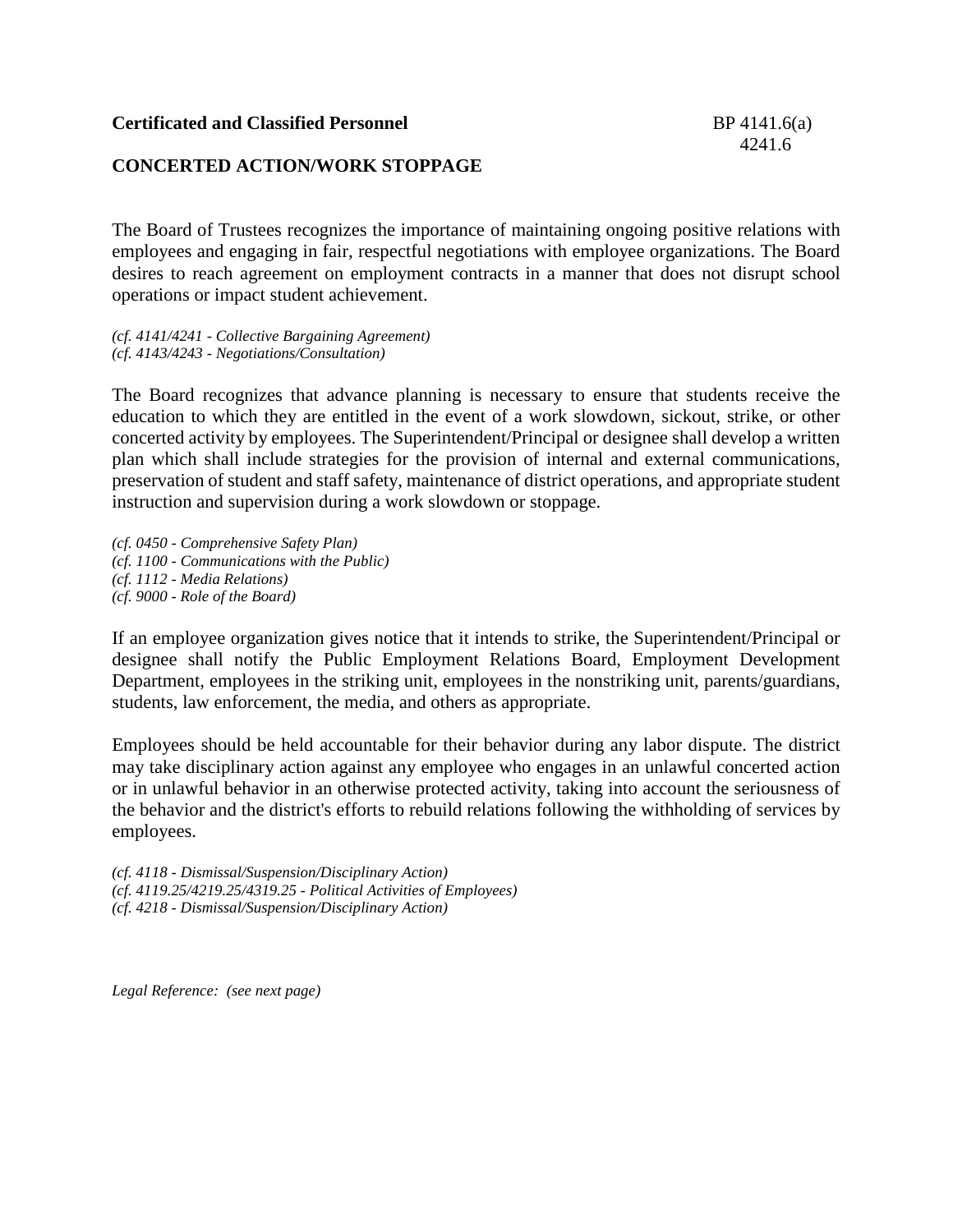# **CONCERTED ACTION/WORK STOPPAGE**

The Board of Trustees recognizes the importance of maintaining ongoing positive relations with employees and engaging in fair, respectful negotiations with employee organizations. The Board desires to reach agreement on employment contracts in a manner that does not disrupt school operations or impact student achievement.

*(cf. 4141/4241 - Collective Bargaining Agreement) (cf. 4143/4243 - Negotiations/Consultation)*

The Board recognizes that advance planning is necessary to ensure that students receive the education to which they are entitled in the event of a work slowdown, sickout, strike, or other concerted activity by employees. The Superintendent/Principal or designee shall develop a written plan which shall include strategies for the provision of internal and external communications, preservation of student and staff safety, maintenance of district operations, and appropriate student instruction and supervision during a work slowdown or stoppage.

*(cf. 0450 - Comprehensive Safety Plan) (cf. 1100 - Communications with the Public) (cf. 1112 - Media Relations) (cf. 9000 - Role of the Board)*

If an employee organization gives notice that it intends to strike, the Superintendent/Principal or designee shall notify the Public Employment Relations Board, Employment Development Department, employees in the striking unit, employees in the nonstriking unit, parents/guardians, students, law enforcement, the media, and others as appropriate.

Employees should be held accountable for their behavior during any labor dispute. The district may take disciplinary action against any employee who engages in an unlawful concerted action or in unlawful behavior in an otherwise protected activity, taking into account the seriousness of the behavior and the district's efforts to rebuild relations following the withholding of services by employees.

*(cf. 4118 - Dismissal/Suspension/Disciplinary Action) (cf. 4119.25/4219.25/4319.25 - Political Activities of Employees) (cf. 4218 - Dismissal/Suspension/Disciplinary Action)*

*Legal Reference: (see next page)*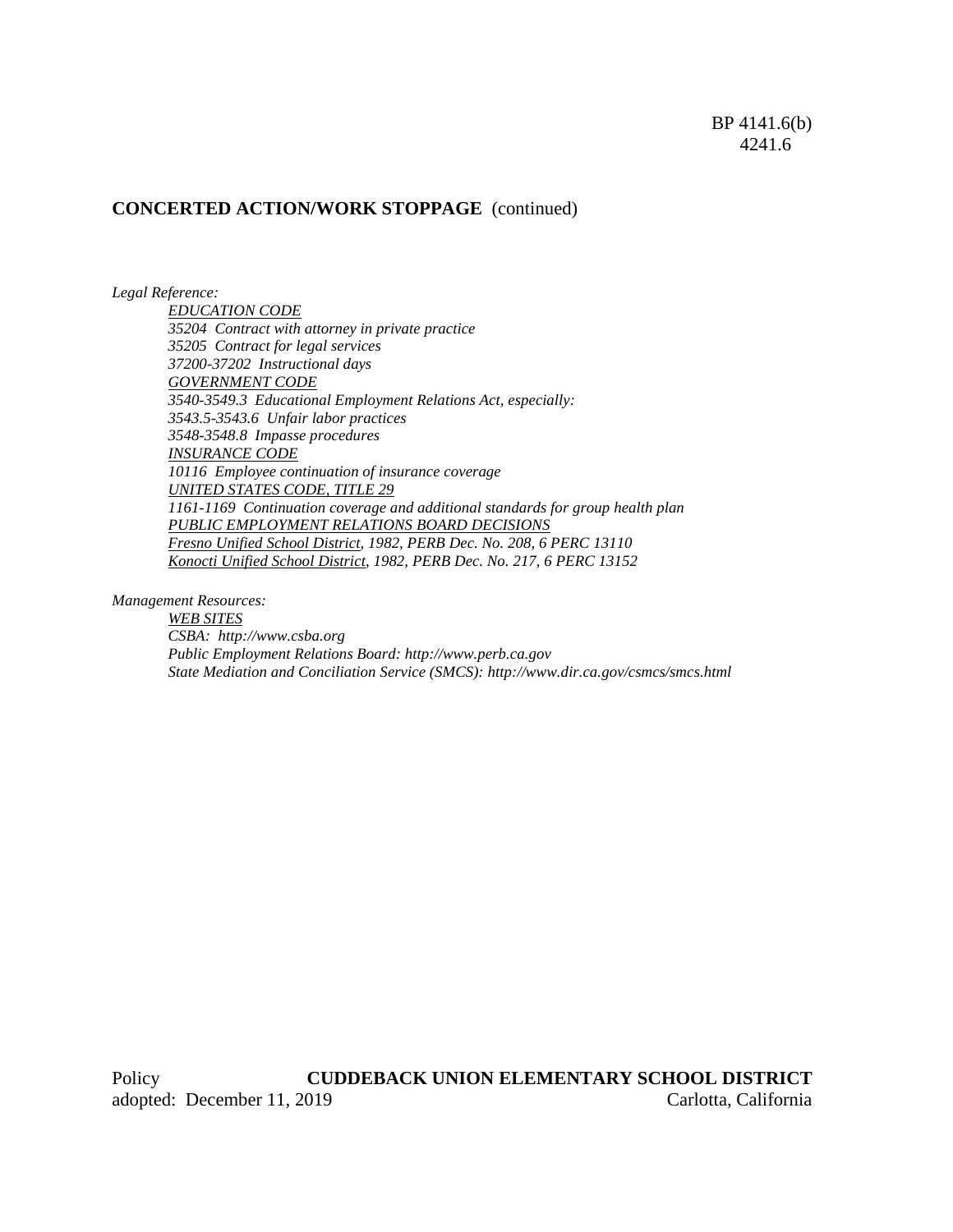*Legal Reference:*

*EDUCATION CODE 35204 Contract with attorney in private practice 35205 Contract for legal services 37200-37202 Instructional days GOVERNMENT CODE 3540-3549.3 Educational Employment Relations Act, especially: 3543.5-3543.6 Unfair labor practices 3548-3548.8 Impasse procedures INSURANCE CODE 10116 Employee continuation of insurance coverage UNITED STATES CODE, TITLE 29 1161-1169 Continuation coverage and additional standards for group health plan PUBLIC EMPLOYMENT RELATIONS BOARD DECISIONS Fresno Unified School District, 1982, PERB Dec. No. 208, 6 PERC 13110 Konocti Unified School District, 1982, PERB Dec. No. 217, 6 PERC 13152*

*Management Resources:*

*WEB SITES CSBA: http://www.csba.org Public Employment Relations Board: http://www.perb.ca.gov State Mediation and Conciliation Service (SMCS): http://www.dir.ca.gov/csmcs/smcs.html*

Policy **CUDDEBACK UNION ELEMENTARY SCHOOL DISTRICT** adopted: December 11, 2019 Carlotta, California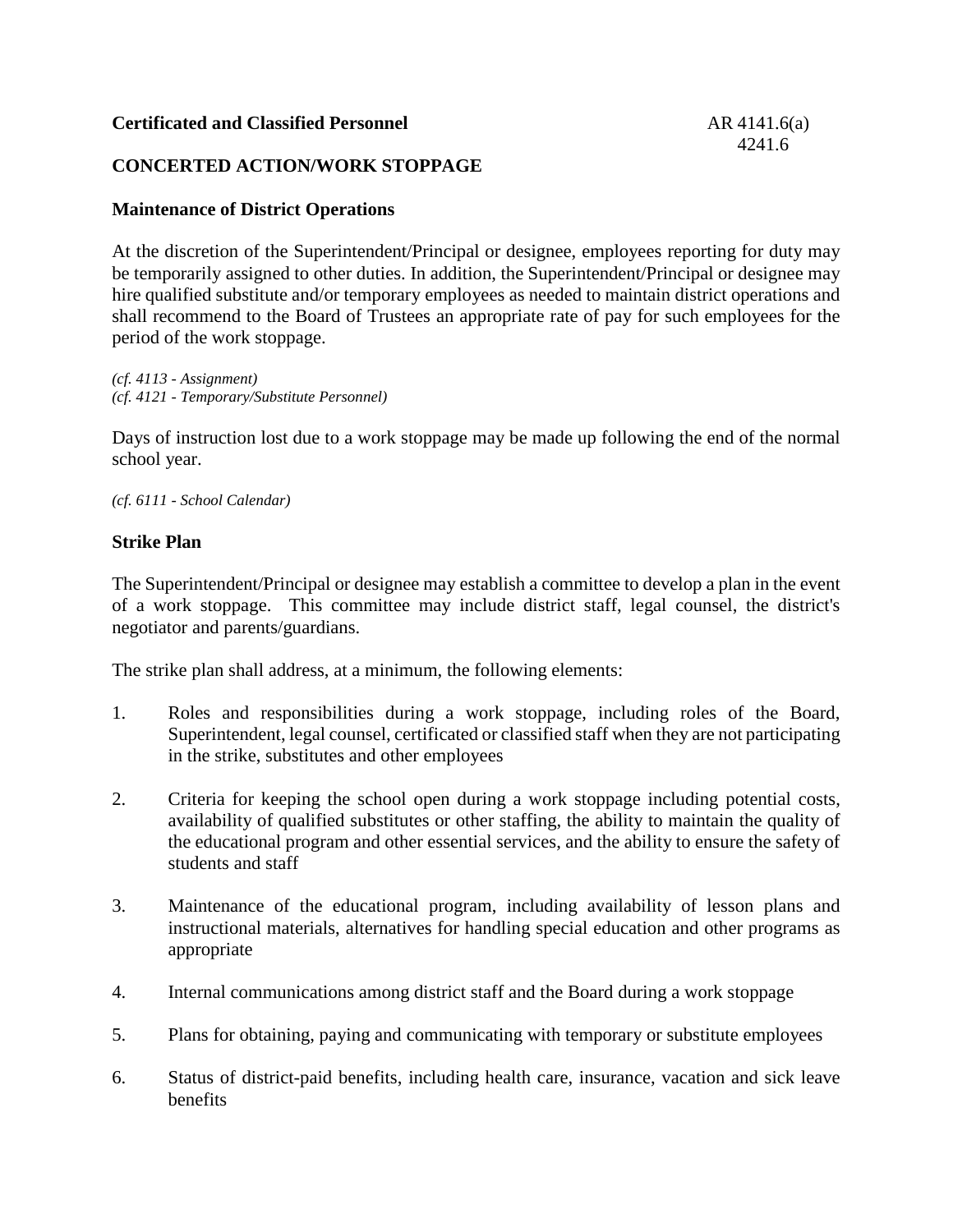# **Certificated and Classified Personnel AR 4141.6(a)**

# **CONCERTED ACTION/WORK STOPPAGE**

## **Maintenance of District Operations**

At the discretion of the Superintendent/Principal or designee, employees reporting for duty may be temporarily assigned to other duties. In addition, the Superintendent/Principal or designee may hire qualified substitute and/or temporary employees as needed to maintain district operations and shall recommend to the Board of Trustees an appropriate rate of pay for such employees for the period of the work stoppage.

*(cf. 4113 - Assignment) (cf. 4121 - Temporary/Substitute Personnel)*

Days of instruction lost due to a work stoppage may be made up following the end of the normal school year.

*(cf. 6111 - School Calendar)*

### **Strike Plan**

The Superintendent/Principal or designee may establish a committee to develop a plan in the event of a work stoppage. This committee may include district staff, legal counsel, the district's negotiator and parents/guardians.

The strike plan shall address, at a minimum, the following elements:

- 1. Roles and responsibilities during a work stoppage, including roles of the Board, Superintendent, legal counsel, certificated or classified staff when they are not participating in the strike, substitutes and other employees
- 2. Criteria for keeping the school open during a work stoppage including potential costs, availability of qualified substitutes or other staffing, the ability to maintain the quality of the educational program and other essential services, and the ability to ensure the safety of students and staff
- 3. Maintenance of the educational program, including availability of lesson plans and instructional materials, alternatives for handling special education and other programs as appropriate
- 4. Internal communications among district staff and the Board during a work stoppage
- 5. Plans for obtaining, paying and communicating with temporary or substitute employees
- 6. Status of district-paid benefits, including health care, insurance, vacation and sick leave benefits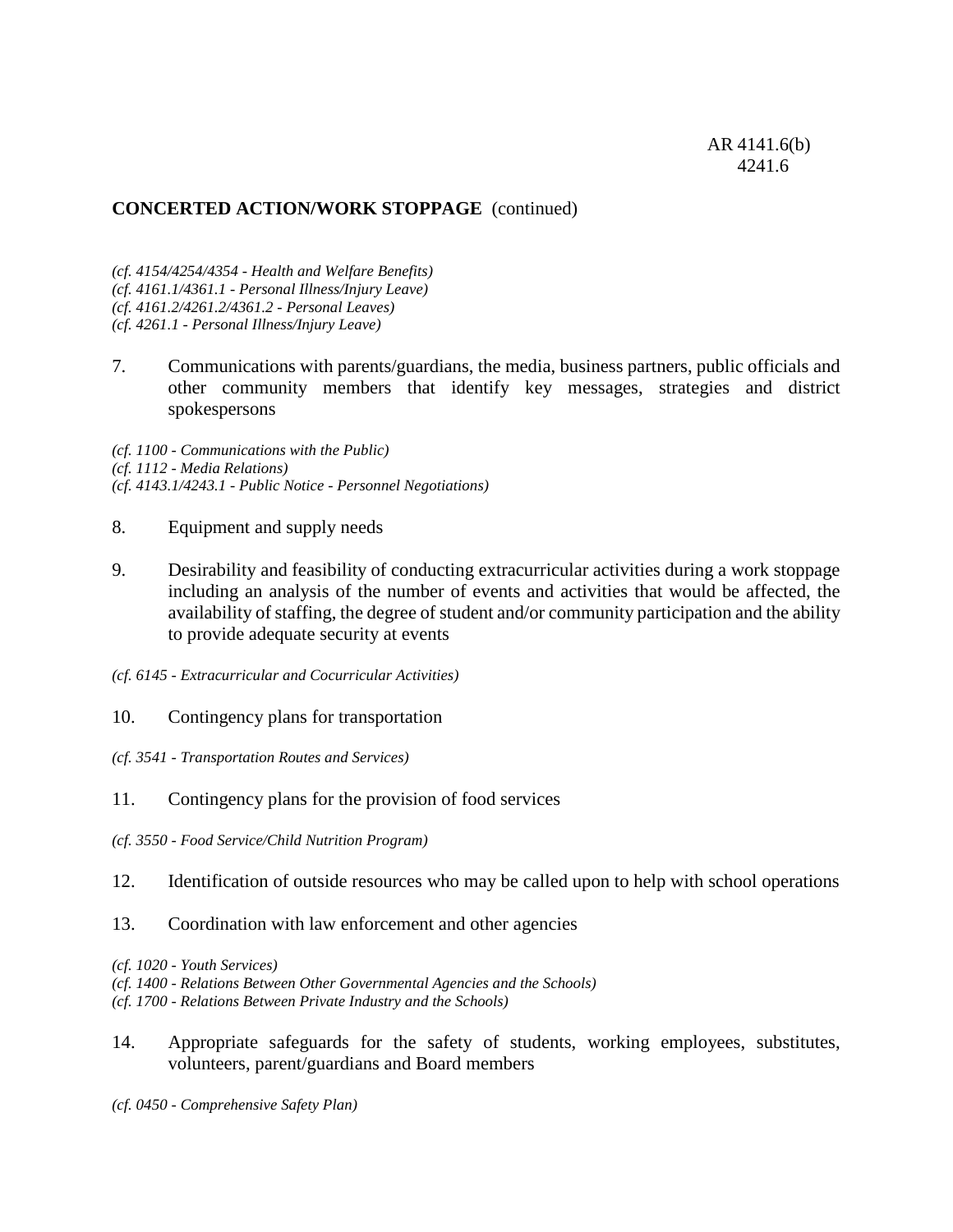*(cf. 4154/4254/4354 - Health and Welfare Benefits) (cf. 4161.1/4361.1 - Personal Illness/Injury Leave) (cf. 4161.2/4261.2/4361.2 - Personal Leaves) (cf. 4261.1 - Personal Illness/Injury Leave)*

7. Communications with parents/guardians, the media, business partners, public officials and other community members that identify key messages, strategies and district spokespersons

*(cf. 1100 - Communications with the Public) (cf. 1112 - Media Relations) (cf. 4143.1/4243.1 - Public Notice - Personnel Negotiations)*

- 8. Equipment and supply needs
- 9. Desirability and feasibility of conducting extracurricular activities during a work stoppage including an analysis of the number of events and activities that would be affected, the availability of staffing, the degree of student and/or community participation and the ability to provide adequate security at events
- *(cf. 6145 - Extracurricular and Cocurricular Activities)*
- 10. Contingency plans for transportation
- *(cf. 3541 - Transportation Routes and Services)*
- 11. Contingency plans for the provision of food services
- *(cf. 3550 - Food Service/Child Nutrition Program)*
- 12. Identification of outside resources who may be called upon to help with school operations
- 13. Coordination with law enforcement and other agencies

*(cf. 1020 - Youth Services) (cf. 1400 - Relations Between Other Governmental Agencies and the Schools) (cf. 1700 - Relations Between Private Industry and the Schools)*

14. Appropriate safeguards for the safety of students, working employees, substitutes, volunteers, parent/guardians and Board members

*(cf. 0450 - Comprehensive Safety Plan)*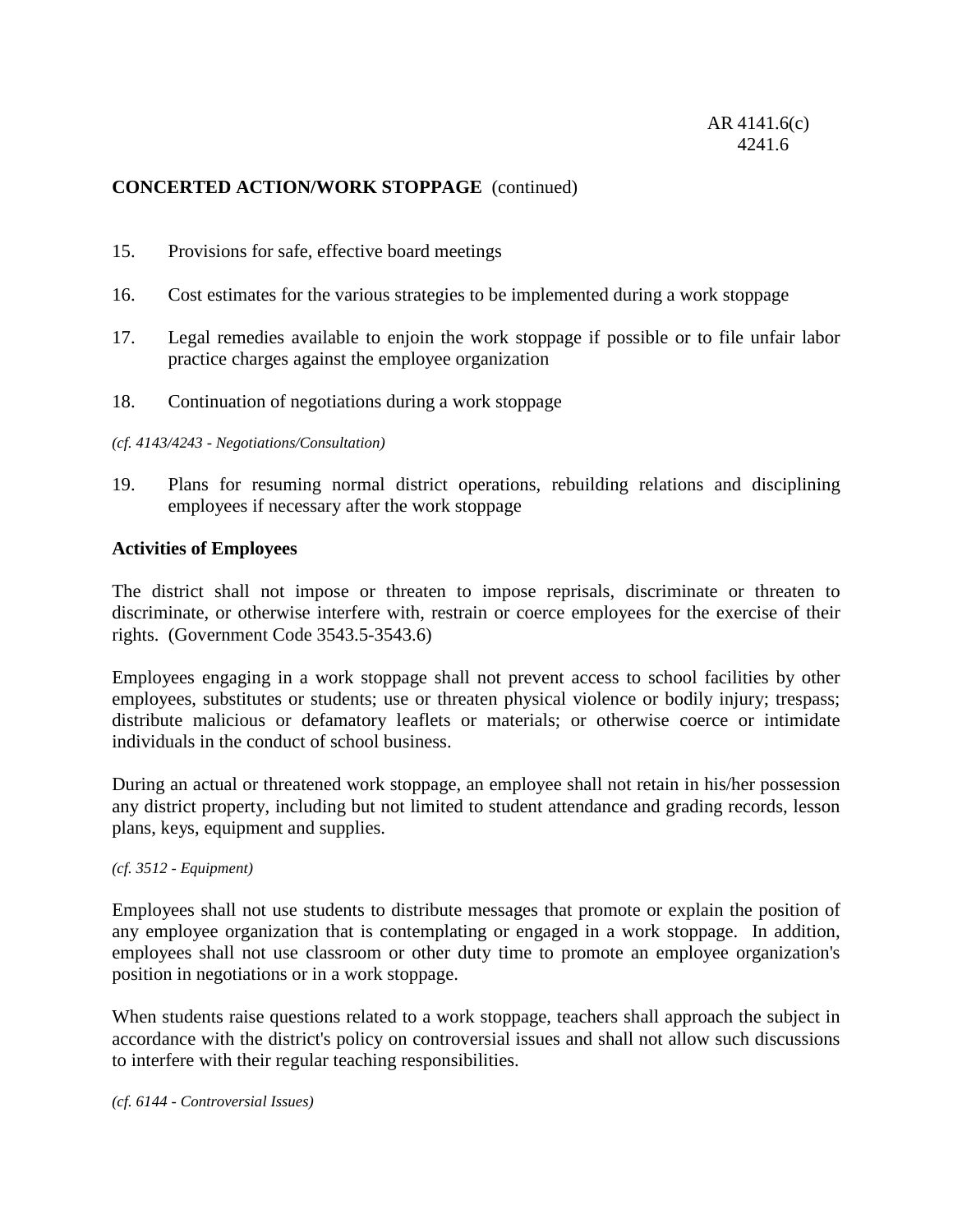- 15. Provisions for safe, effective board meetings
- 16. Cost estimates for the various strategies to be implemented during a work stoppage
- 17. Legal remedies available to enjoin the work stoppage if possible or to file unfair labor practice charges against the employee organization
- 18. Continuation of negotiations during a work stoppage

#### *(cf. 4143/4243 - Negotiations/Consultation)*

19. Plans for resuming normal district operations, rebuilding relations and disciplining employees if necessary after the work stoppage

#### **Activities of Employees**

The district shall not impose or threaten to impose reprisals, discriminate or threaten to discriminate, or otherwise interfere with, restrain or coerce employees for the exercise of their rights. (Government Code 3543.5-3543.6)

Employees engaging in a work stoppage shall not prevent access to school facilities by other employees, substitutes or students; use or threaten physical violence or bodily injury; trespass; distribute malicious or defamatory leaflets or materials; or otherwise coerce or intimidate individuals in the conduct of school business.

During an actual or threatened work stoppage, an employee shall not retain in his/her possession any district property, including but not limited to student attendance and grading records, lesson plans, keys, equipment and supplies.

#### *(cf. 3512 - Equipment)*

Employees shall not use students to distribute messages that promote or explain the position of any employee organization that is contemplating or engaged in a work stoppage. In addition, employees shall not use classroom or other duty time to promote an employee organization's position in negotiations or in a work stoppage.

When students raise questions related to a work stoppage, teachers shall approach the subject in accordance with the district's policy on controversial issues and shall not allow such discussions to interfere with their regular teaching responsibilities.

*(cf. 6144 - Controversial Issues)*